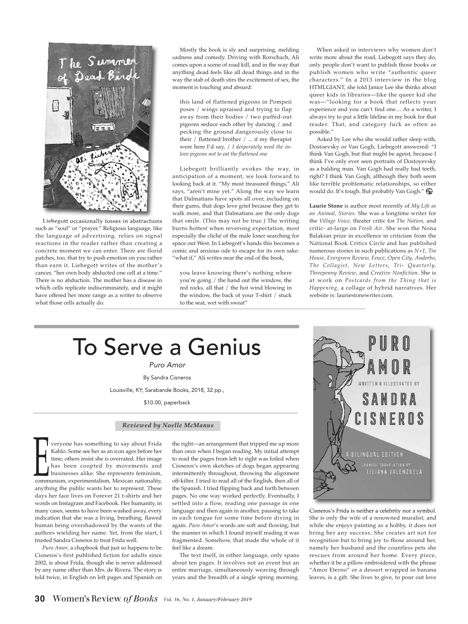

Liebegott occasionally tosses in abstractions such as "soul" or "prayer." Religious language, like the language of advertising, relies on signal reactions in the reader rather than creating a concrete moment we can enter. There are florid patches, too, that try to push emotion on you rather than earn it. Liebegott writes of the mother's cancer, "her own body abducted one cell at a time." There is no abduction. The mother has a disease in which cells replicate indiscriminately, and it might have offered her more range as a writer to observe what those cells actually do.

Mostly the book is sly and surprising, melding sadness and comedy. Driving with Rorschach, Ali comes upon a scene of road kill, and in the way that anything dead feels like all dead things and in the way the stab of death stirs the excitement of sex, the moment is touching and absurd:

this land of flattened pigeons in Pompeii poses / wings upraised and trying to flap away from their bodies / two puffed-out pigeons seduce each other by dancing / and pecking the ground dangerously close to their / flattened brother / ... if my therapist were here I'd say, / *I desperately need the inlove pigeons not to eat the flattened one*

Liebegott brilliantly evokes the way, in anticipation of a moment, we look forward to looking back at it. "My most treasured things," Ali says, "aren't mine yet." Along the way we learn that Dalmatians have spots all over, including on their gums, that dogs love grief because they get to walk more, and that Dalmatians are the only dogs that smile. (This may not be true.) The writing burns hottest when reversing expectation, most especially the cliché of the male loner searching for space out West. In Liebegott's hands this becomes a comic and anxious ode to escape for its own sake: "what if," Ali writes near the end of the book,

you leave knowing there's nothing where you're going / the hand out the window, the red rocks, all that / the hot wind blowing in the window, the back of your T-shirt / stuck to the seat, wet with sweat"

When asked in interviews why women don't write more about the road, Liebegott says they do, only people don't want to publish those books or publish women who write "authentic queer characters." In a 2013 interview in the blog HTMLGIANT, she told Janice Lee she thinks about queer kids in libraries—like the queer kid she was—"looking for a book that reflects your experience and you can't find one.... As a writer, I always try to put a little lifeline in my book for that reader. That, and category fuck as often as possible."

Asked by Lee who she would rather sleep with, Dostoevsky or Van Gogh, Liebegott answered: "I think Van Gogh, but that might be ageist, because I think I've only ever seen portraits of Dostoyevsky as a balding man. Van Gogh had really bad teeth, right? I think Van Gogh, although they both seem like terrible problematic relationships, so either would do. It's tough. But probably Van Gogh."

**Laurie Stone** is author most recently of *My Life as an Animal, Stories.* She was a longtime writer for the *Village Voice,* theater critic for *The Nation,* and critic- at-large on *Fresh Air*. She won the Nona Balakian prize in excellence in criticism from the National Book Critics Circle and has published numerous stories in such publications as *N+1, Tin House, Evergreen Review, Fence*, *Open City*, *Anderbo*, *The Collagist, New Letters*, *Tri- Quarterly, Threepenny Review*, and *Creative Nonfiction.* She is at work on *Postcards from the Thing that is Happening*, a collage of hybrid narratives. Her website is: lauriestonewriter.com.

## To Serve a Genius Puro Amor

By Sandra Cisneros

Louisville, KY; Sarabande Books, 2018, 32 pp.,

\$10.00, paperback

## *Reviewed by Noelle McManus*

veryone has something to say about Frida Kahlo. Some see her as an icon ages before her time; others insist she is overrated. Her image has been coopted by movements and businesses alike. She represents feminism, time; others insist she is overrated. Her image<br>has been coopted by movements and<br>businesses alike. She represents feminism,<br>communism, experimentalism, Mexican nationality, anything the public wants her to represent. These days her face lives on Forever 21 t-shirts and her words on Instagram and Facebook. Her humanity, in many cases, seems to have been washed away, every indication that she was a living, breathing, flawed human being overshadowed by the wants of the authors wielding her name. Yet, from the start, I trusted Sandra Cisneros to treat Frida well.

*Puro Amor*, a chapbook that just so happens to be Cisneros's first published fiction for adults since 2002, is about Frida, though she is never addressed by any name other than Mrs. de Rivera. The story is told twice, in English on left pages and Spanish on the right—an arrangement that tripped me up more than once when I began reading. My initial attempt to read the pages from left to right was foiled when Cisneros's own sketches of dogs began appearing intermittently throughout, throwing the alignment off-kilter. I tried to read all of the English, then all of the Spanish. I tried flipping back and forth between pages. No one way worked perfectly. Eventually, I settled into a flow, reading one passage in one language and then again in another, pausing to take in each tongue for some time before diving in again. *Puro Amor*'s words are soft and flowing, but the manner in which I found myself reading it was fragmented. Somehow, that made the whole of it feel like a dream.

The text itself, in either language, only spans about ten pages. It involves not an event but an entire marriage, simultaneously weaving through years and the breadth of a single spring morning.



Cisneros's Frida is neither a celebrity nor a symbol. She is only the wife of a renowned muralist, and while she enjoys painting as a hobby, it does not bring her any success. She creates art not for recognition but to bring joy to those around her, namely her husband and the countless pets she rescues from around her home. Every piece, whether it be a pillow embroidered with the phrase "Amor Eterno" or a dessert wrapped in banana leaves, is a gift. She lives to give, to pour out love